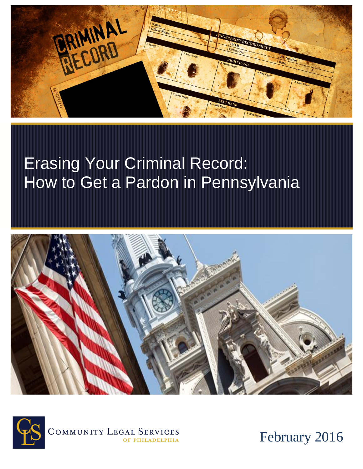

# Erasing Your Criminal Record: How to Get a Pardon in Pennsylvania





COMMUNITY LEGAL SERVICES OF PHILADELPHIA

February 2016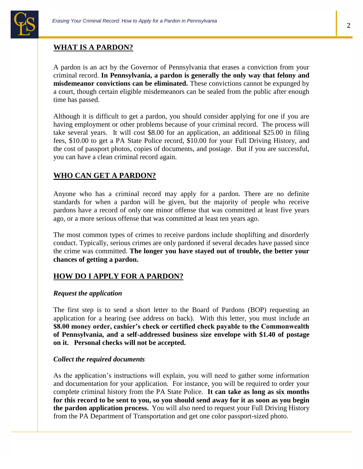

# **WHAT IS A PARDON?**

A pardon is an act by the Governor of Pennsylvania that erases a conviction from your criminal record. **In Pennsylvania, a pardon is generally the only way that felony and misdemeanor convictions can be eliminated.** These convictions cannot be expunged by a court, though certain eligible misdemeanors can be sealed from the public after enough time has passed.

Although it is difficult to get a pardon, you should consider applying for one if you are having employment or other problems because of your criminal record. The process will take several years. It will cost \$8.00 for an application, an additional \$25.00 in filing fees, \$10.00 to get a PA State Police record, \$10.00 for your Full Driving History, and the cost of passport photos, copies of documents, and postage. But if you are successful, you can have a clean criminal record again.

# **WHO CAN GET A PARDON?**

Anyone who has a criminal record may apply for a pardon. There are no definite standards for when a pardon will be given, but the majority of people who receive pardons have a record of only one minor offense that was committed at least five years ago, or a more serious offense that was committed at least ten years ago.

The most common types of crimes to receive pardons include shoplifting and disorderly conduct. Typically, serious crimes are only pardoned if several decades have passed since the crime was committed. **The longer you have stayed out of trouble, the better your chances of getting a pardon.** 

# **HOW DO I APPLY FOR A PARDON?**

## *Request the application*

The first step is to send a short letter to the Board of Pardons (BOP) requesting an application for a hearing (see address on back). With this letter, you must include an **\$8.00 money order, cashier's check or certified check payable to the Commonwealth of Pennsylvania, and a self-addressed business size envelope with \$1.40 of postage on it. Personal checks will not be accepted.**

## *Collect the required documents*

As the application's instructions will explain, you will need to gather some information and documentation for your application. For instance, you will be required to order your complete criminal history from the PA State Police. **It can take as long as six months for this record to be sent to you, so you should send away for it as soon as you begin the pardon application process.** You will also need to request your Full Driving History from the PA Department of Transportation and get one color passport-sized photo.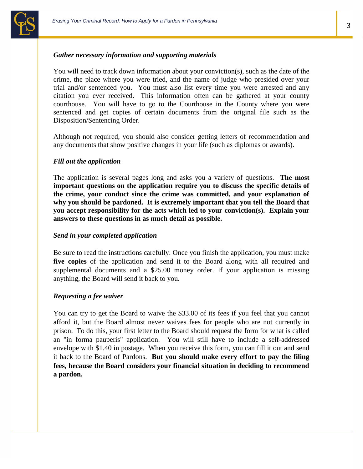

#### *Gather necessary information and supporting materials*

You will need to track down information about your conviction(s), such as the date of the crime, the place where you were tried, and the name of judge who presided over your trial and/or sentenced you. You must also list every time you were arrested and any citation you ever received. This information often can be gathered at your county courthouse. You will have to go to the Courthouse in the County where you were sentenced and get copies of certain documents from the original file such as the Disposition/Sentencing Order.

Although not required, you should also consider getting letters of recommendation and any documents that show positive changes in your life (such as diplomas or awards).

#### *Fill out the application*

The application is several pages long and asks you a variety of questions. **The most important questions on the application require you to discuss the specific details of the crime, your conduct since the crime was committed, and your explanation of why you should be pardoned. It is extremely important that you tell the Board that you accept responsibility for the acts which led to your conviction(s). Explain your answers to these questions in as much detail as possible.**

#### *Send in your completed application*

Be sure to read the instructions carefully. Once you finish the application, you must make **five copies** of the application and send it to the Board along with all required and supplemental documents and a \$25.00 money order. If your application is missing anything, the Board will send it back to you.

#### *Requesting a fee waiver*

You can try to get the Board to waive the \$33.00 of its fees if you feel that you cannot afford it, but the Board almost never waives fees for people who are not currently in prison. To do this, your first letter to the Board should request the form for what is called an "in forma pauperis" application. You will still have to include a self-addressed envelope with \$1.40 in postage. When you receive this form, you can fill it out and send it back to the Board of Pardons. **But you should make every effort to pay the filing fees, because the Board considers your financial situation in deciding to recommend a pardon.**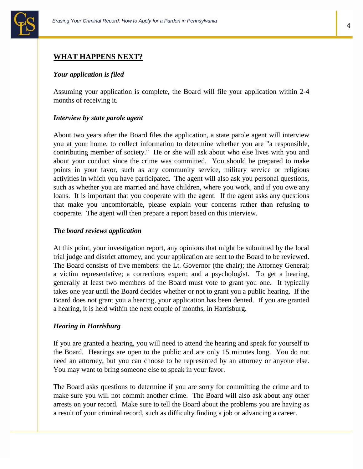

### **WHAT HAPPENS NEXT?**

#### *Your application is filed*

Assuming your application is complete, the Board will file your application within 2-4 months of receiving it.

#### *Interview by state parole agent*

About two years after the Board files the application, a state parole agent will interview you at your home, to collect information to determine whether you are "a responsible, contributing member of society." He or she will ask about who else lives with you and about your conduct since the crime was committed. You should be prepared to make points in your favor, such as any community service, military service or religious activities in which you have participated. The agent will also ask you personal questions, such as whether you are married and have children, where you work, and if you owe any loans. It is important that you cooperate with the agent. If the agent asks any questions that make you uncomfortable, please explain your concerns rather than refusing to cooperate. The agent will then prepare a report based on this interview.

#### *The board reviews application*

At this point, your investigation report, any opinions that might be submitted by the local trial judge and district attorney, and your application are sent to the Board to be reviewed. The Board consists of five members: the Lt. Governor (the chair); the Attorney General; a victim representative; a corrections expert; and a psychologist. To get a hearing, generally at least two members of the Board must vote to grant you one. It typically takes one year until the Board decides whether or not to grant you a public hearing. If the Board does not grant you a hearing, your application has been denied. If you are granted a hearing, it is held within the next couple of months, in Harrisburg.

#### *Hearing in Harrisburg*

If you are granted a hearing, you will need to attend the hearing and speak for yourself to the Board. Hearings are open to the public and are only 15 minutes long. You do not need an attorney, but you can choose to be represented by an attorney or anyone else. You may want to bring someone else to speak in your favor.

The Board asks questions to determine if you are sorry for committing the crime and to make sure you will not commit another crime. The Board will also ask about any other arrests on your record. Make sure to tell the Board about the problems you are having as a result of your criminal record, such as difficulty finding a job or advancing a career.